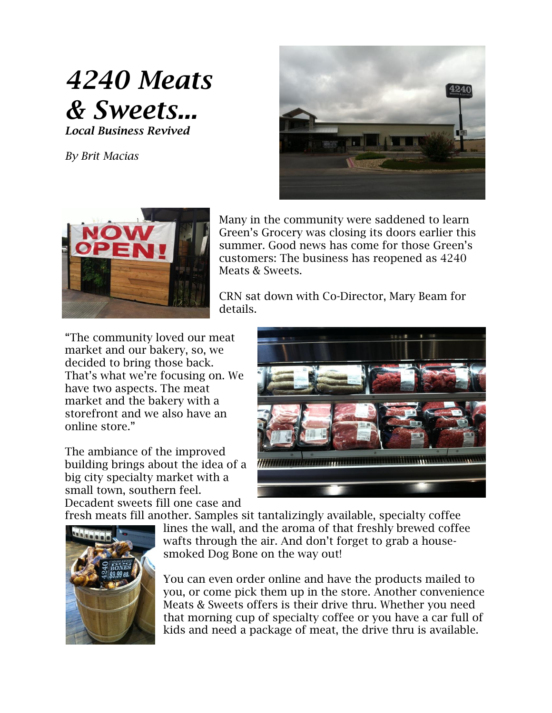## *4240 Meats & Sweets... Local Business Revived*

*By Brit Macias*





Many in the community were saddened to learn Green's Grocery was closing its doors earlier this summer. Good news has come for those Green's customers: The business has reopened as 4240 Meats & Sweets.

CRN sat down with Co-Director, Mary Beam for details.

"The community loved our meat market and our bakery, so, we decided to bring those back. That's what we're focusing on. We have two aspects. The meat market and the bakery with a storefront and we also have an online store."

The ambiance of the improved building brings about the idea of a big city specialty market with a small town, southern feel. Decadent sweets fill one case and



fresh meats fill another. Samples sit tantalizingly available, specialty coffee



lines the wall, and the aroma of that freshly brewed coffee wafts through the air. And don't forget to grab a housesmoked Dog Bone on the way out!

You can even order online and have the products mailed to you, or come pick them up in the store. Another convenience Meats & Sweets offers is their drive thru. Whether you need that morning cup of specialty coffee or you have a car full of kids and need a package of meat, the drive thru is available.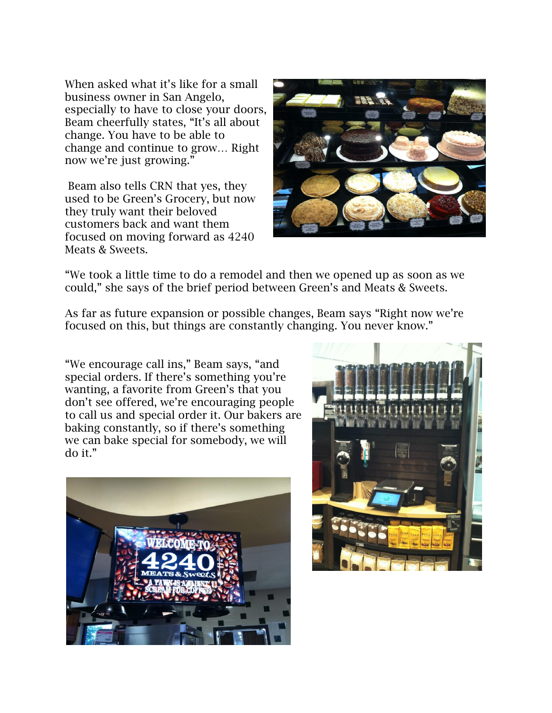When asked what it's like for a small business owner in San Angelo, especially to have to close your doors, Beam cheerfully states, "It's all about change. You have to be able to change and continue to grow… Right now we're just growing."

Beam also tells CRN that yes, they used to be Green's Grocery, but now they truly want their beloved customers back and want them focused on moving forward as 4240 Meats & Sweets.



"We took a little time to do a remodel and then we opened up as soon as we could," she says of the brief period between Green's and Meats & Sweets.

As far as future expansion or possible changes, Beam says "Right now we're focused on this, but things are constantly changing. You never know."

"We encourage call ins," Beam says, "and special orders. If there's something you're wanting, a favorite from Green's that you don't see offered, we're encouraging people to call us and special order it. Our bakers are baking constantly, so if there's something we can bake special for somebody, we will do it."